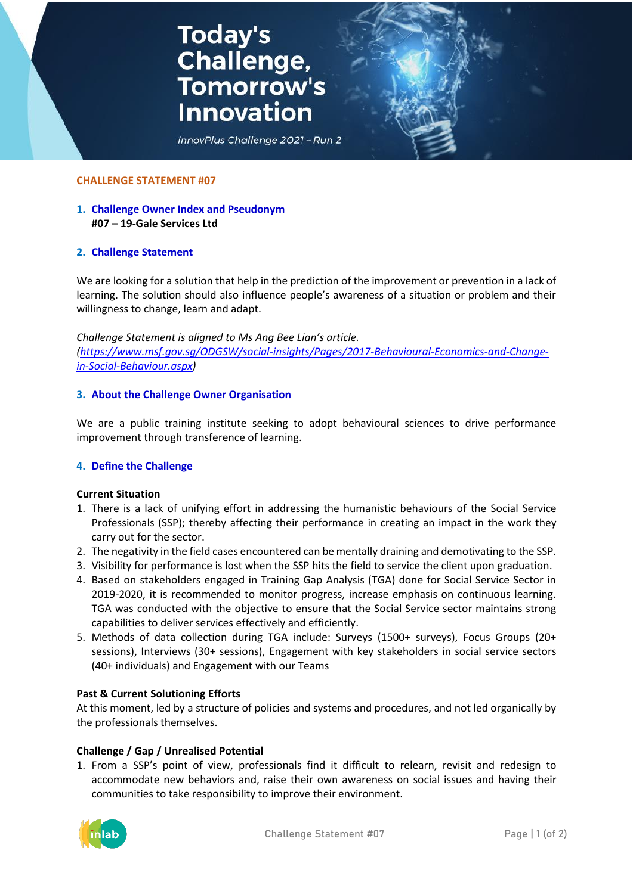# **Today's<br>Challenge,<br>Tomorrow's Innovation**



#### **CHALLENGE STATEMENT #07**

# **1. Challenge Owner Index and Pseudonym #07 – 19-Gale Services Ltd**

#### **2. Challenge Statement**

We are looking for a solution that help in the prediction of the improvement or prevention in a lack of learning. The solution should also influence people's awareness of a situation or problem and their willingness to change, learn and adapt.

*Challenge Statement is aligned to Ms Ang Bee Lian's article. [\(https://www.msf.gov.sg/ODGSW/social-insights/Pages/2017-Behavioural-Economics-and-Change](https://www.msf.gov.sg/ODGSW/social-insights/Pages/2017-Behavioural-Economics-and-Change-in-Social-Behaviour.aspx)[in-Social-Behaviour.aspx\)](https://www.msf.gov.sg/ODGSW/social-insights/Pages/2017-Behavioural-Economics-and-Change-in-Social-Behaviour.aspx)*

#### **3. About the Challenge Owner Organisation**

We are a public training institute seeking to adopt behavioural sciences to drive performance improvement through transference of learning.

#### **4. Define the Challenge**

#### **Current Situation**

- 1. There is a lack of unifying effort in addressing the humanistic behaviours of the Social Service Professionals (SSP); thereby affecting their performance in creating an impact in the work they carry out for the sector.
- 2. The negativity in the field cases encountered can be mentally draining and demotivating to the SSP.
- 3. Visibility for performance is lost when the SSP hits the field to service the client upon graduation.
- 4. Based on stakeholders engaged in Training Gap Analysis (TGA) done for Social Service Sector in 2019-2020, it is recommended to monitor progress, increase emphasis on continuous learning. TGA was conducted with the objective to ensure that the Social Service sector maintains strong capabilities to deliver services effectively and efficiently.
- 5. Methods of data collection during TGA include: Surveys (1500+ surveys), Focus Groups (20+ sessions), Interviews (30+ sessions), Engagement with key stakeholders in social service sectors (40+ individuals) and Engagement with our Teams

#### **Past & Current Solutioning Efforts**

At this moment, led by a structure of policies and systems and procedures, and not led organically by the professionals themselves.

## **Challenge / Gap / Unrealised Potential**

1. From a SSP's point of view, professionals find it difficult to relearn, revisit and redesign to accommodate new behaviors and, raise their own awareness on social issues and having their communities to take responsibility to improve their environment.